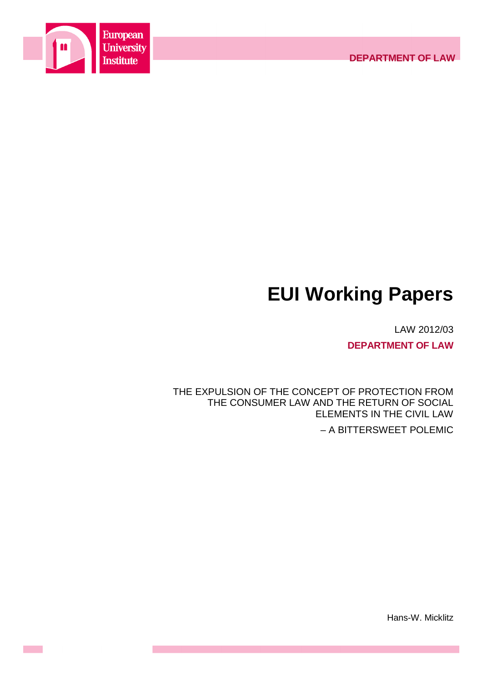



**Contract** 

# **EUI Working Papers**

LAW 2012/03 **DEPARTMENT OF LAW**

THE EXPULSION OF THE CONCEPT OF PROTECTION FROM THE CONSUMER LAW AND THE RETURN OF SOCIAL ELEMENTS IN THE CIVIL LAW

– A BITTERSWEET POLEMIC

Hans-W. Micklitz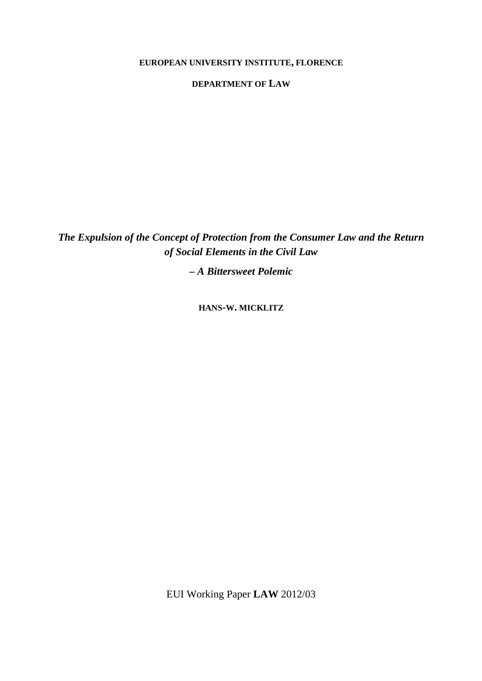## **EUROPEAN UNIVERSITY INSTITUTE, FLORENCE**

## **DEPARTMENT OF LAW**

*The Expulsion of the Concept of Protection from the Consumer Law and the Return of Social Elements in the Civil Law* 

*– A Bittersweet Polemic* 

**HANS-W. MICKLITZ**

EUI Working Paper **LAW** 2012/03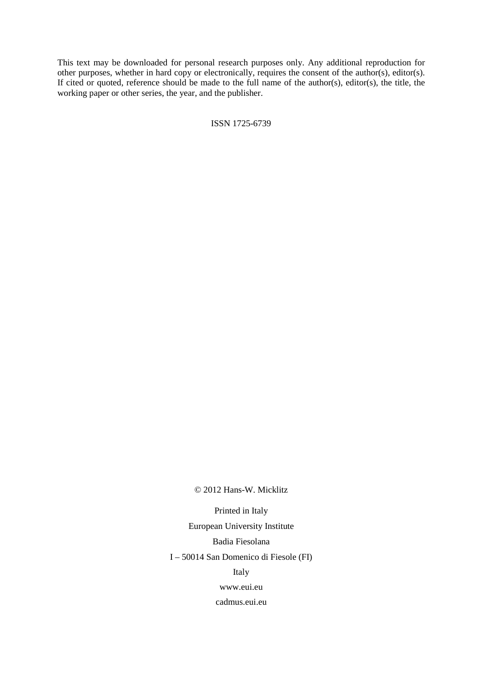This text may be downloaded for personal research purposes only. Any additional reproduction for other purposes, whether in hard copy or electronically, requires the consent of the author(s), editor(s). If cited or quoted, reference should be made to the full name of the author(s), editor(s), the title, the working paper or other series, the year, and the publisher.

ISSN 1725-6739

© 2012 Hans-W. Micklitz

Printed in Italy European University Institute Badia Fiesolana I – 50014 San Domenico di Fiesole (FI) Italy www.eui.eu

cadmus.eui.eu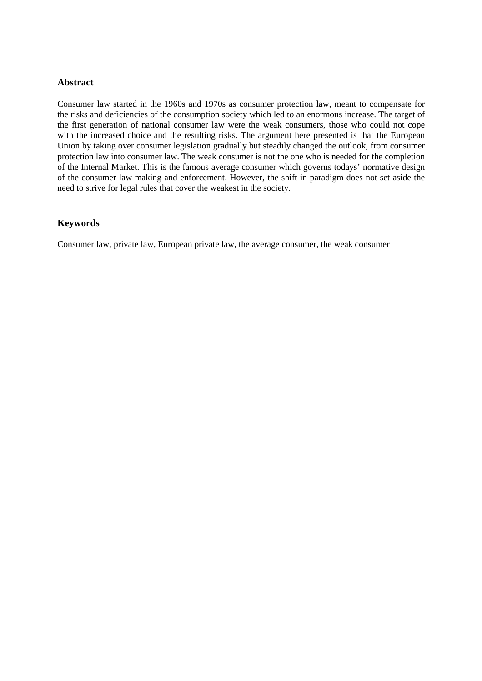#### **Abstract**

Consumer law started in the 1960s and 1970s as consumer protection law, meant to compensate for the risks and deficiencies of the consumption society which led to an enormous increase. The target of the first generation of national consumer law were the weak consumers, those who could not cope with the increased choice and the resulting risks. The argument here presented is that the European Union by taking over consumer legislation gradually but steadily changed the outlook, from consumer protection law into consumer law. The weak consumer is not the one who is needed for the completion of the Internal Market. This is the famous average consumer which governs todays' normative design of the consumer law making and enforcement. However, the shift in paradigm does not set aside the need to strive for legal rules that cover the weakest in the society.

#### **Keywords**

Consumer law, private law, European private law, the average consumer, the weak consumer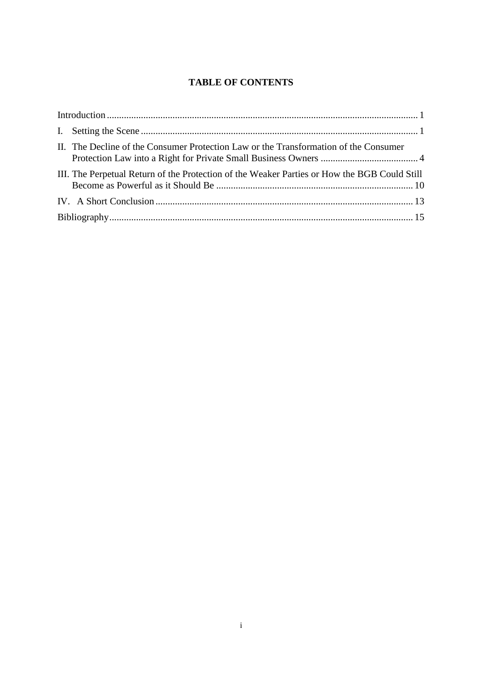# **TABLE OF CONTENTS**

|  | II. The Decline of the Consumer Protection Law or the Transformation of the Consumer         |
|--|----------------------------------------------------------------------------------------------|
|  | III. The Perpetual Return of the Protection of the Weaker Parties or How the BGB Could Still |
|  |                                                                                              |
|  |                                                                                              |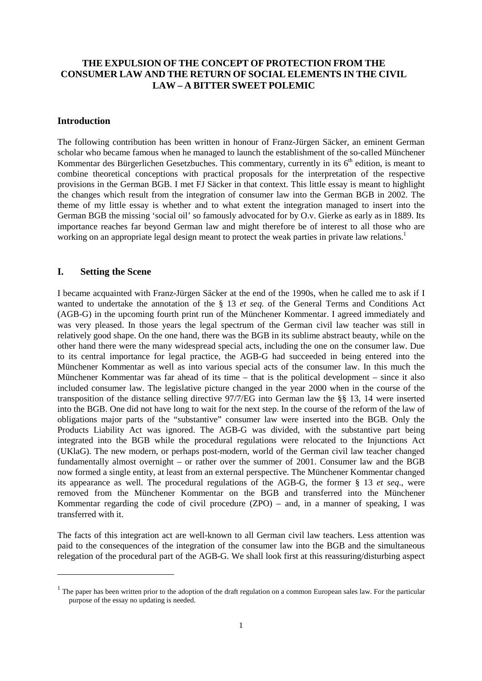### **THE EXPULSION OF THE CONCEPT OF PROTECTION FROM THE CONSUMER LAW AND THE RETURN OF SOCIAL ELEMENTS IN THE CIVIL LAW – A BITTER SWEET POLEMIC**

#### **Introduction**

The following contribution has been written in honour of Franz-Jürgen Säcker, an eminent German scholar who became famous when he managed to launch the establishment of the so-called Münchener Kommentar des Bürgerlichen Gesetzbuches. This commentary, currently in its  $6<sup>th</sup>$  edition, is meant to combine theoretical conceptions with practical proposals for the interpretation of the respective provisions in the German BGB. I met FJ Säcker in that context. This little essay is meant to highlight the changes which result from the integration of consumer law into the German BGB in 2002. The theme of my little essay is whether and to what extent the integration managed to insert into the German BGB the missing 'social oil' so famously advocated for by O.v. Gierke as early as in 1889. Its importance reaches far beyond German law and might therefore be of interest to all those who are working on an appropriate legal design meant to protect the weak parties in private law relations.<sup>1</sup>

#### **I. Setting the Scene**

 $\overline{a}$ 

I became acquainted with Franz-Jürgen Sӓcker at the end of the 1990s, when he called me to ask if I wanted to undertake the annotation of the § 13 *et seq.* of the General Terms and Conditions Act (AGB-G) in the upcoming fourth print run of the Münchener Kommentar. I agreed immediately and was very pleased. In those years the legal spectrum of the German civil law teacher was still in relatively good shape. On the one hand, there was the BGB in its sublime abstract beauty, while on the other hand there were the many widespread special acts, including the one on the consumer law. Due to its central importance for legal practice, the AGB-G had succeeded in being entered into the Münchener Kommentar as well as into various special acts of the consumer law. In this much the Münchener Kommentar was far ahead of its time – that is the political development – since it also included consumer law. The legislative picture changed in the year 2000 when in the course of the transposition of the distance selling directive 97/7/EG into German law the §§ 13, 14 were inserted into the BGB. One did not have long to wait for the next step. In the course of the reform of the law of obligations major parts of the "substantive" consumer law were inserted into the BGB. Only the Products Liability Act was ignored. The AGB-G was divided, with the substantive part being integrated into the BGB while the procedural regulations were relocated to the Injunctions Act (UKlaG). The new modern, or perhaps post-modern, world of the German civil law teacher changed fundamentally almost overnight – or rather over the summer of 2001. Consumer law and the BGB now formed a single entity, at least from an external perspective. The Münchener Kommentar changed its appearance as well. The procedural regulations of the AGB-G, the former § 13 *et seq.*, were removed from the Münchener Kommentar on the BGB and transferred into the Münchener Kommentar regarding the code of civil procedure (ZPO) – and, in a manner of speaking, I was transferred with it.

The facts of this integration act are well-known to all German civil law teachers. Less attention was paid to the consequences of the integration of the consumer law into the BGB and the simultaneous relegation of the procedural part of the AGB-G. We shall look first at this reassuring/disturbing aspect

 $<sup>1</sup>$  The paper has been written prior to the adoption of the draft regulation on a common European sales law. For the particular</sup> purpose of the essay no updating is needed.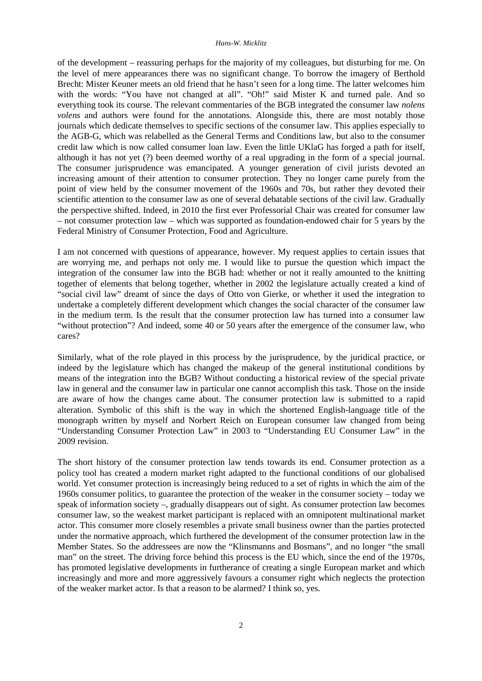#### *Hans-W. Micklitz*

of the development – reassuring perhaps for the majority of my colleagues, but disturbing for me. On the level of mere appearances there was no significant change. To borrow the imagery of Berthold Brecht: Mister Keuner meets an old friend that he hasn't seen for a long time. The latter welcomes him with the words: "You have not changed at all". "Oh!" said Mister K and turned pale. And so everything took its course. The relevant commentaries of the BGB integrated the consumer law *nolens volens* and authors were found for the annotations. Alongside this, there are most notably those journals which dedicate themselves to specific sections of the consumer law. This applies especially to the AGB-G, which was relabelled as the General Terms and Conditions law, but also to the consumer credit law which is now called consumer loan law. Even the little UKlaG has forged a path for itself, although it has not yet (?) been deemed worthy of a real upgrading in the form of a special journal. The consumer jurisprudence was emancipated. A younger generation of civil jurists devoted an increasing amount of their attention to consumer protection. They no longer came purely from the point of view held by the consumer movement of the 1960s and 70s, but rather they devoted their scientific attention to the consumer law as one of several debatable sections of the civil law. Gradually the perspective shifted. Indeed, in 2010 the first ever Professorial Chair was created for consumer law – not consumer protection law – which was supported as foundation-endowed chair for 5 years by the Federal Ministry of Consumer Protection, Food and Agriculture.

I am not concerned with questions of appearance, however. My request applies to certain issues that are worrying me, and perhaps not only me. I would like to pursue the question which impact the integration of the consumer law into the BGB had: whether or not it really amounted to the knitting together of elements that belong together, whether in 2002 the legislature actually created a kind of "social civil law" dreamt of since the days of Otto von Gierke, or whether it used the integration to undertake a completely different development which changes the social character of the consumer law in the medium term. Is the result that the consumer protection law has turned into a consumer law "without protection"? And indeed, some 40 or 50 years after the emergence of the consumer law, who cares?

Similarly, what of the role played in this process by the jurisprudence, by the juridical practice, or indeed by the legislature which has changed the makeup of the general institutional conditions by means of the integration into the BGB? Without conducting a historical review of the special private law in general and the consumer law in particular one cannot accomplish this task. Those on the inside are aware of how the changes came about. The consumer protection law is submitted to a rapid alteration. Symbolic of this shift is the way in which the shortened English-language title of the monograph written by myself and Norbert Reich on European consumer law changed from being "Understanding Consumer Protection Law" in 2003 to "Understanding EU Consumer Law" in the 2009 revision.

The short history of the consumer protection law tends towards its end. Consumer protection as a policy tool has created a modern market right adapted to the functional conditions of our globalised world. Yet consumer protection is increasingly being reduced to a set of rights in which the aim of the 1960s consumer politics, to guarantee the protection of the weaker in the consumer society – today we speak of information society –, gradually disappears out of sight. As consumer protection law becomes consumer law, so the weakest market participant is replaced with an omnipotent multinational market actor. This consumer more closely resembles a private small business owner than the parties protected under the normative approach, which furthered the development of the consumer protection law in the Member States. So the addressees are now the "Klinsmanns and Bosmans", and no longer "the small man" on the street. The driving force behind this process is the EU which, since the end of the 1970s, has promoted legislative developments in furtherance of creating a single European market and which increasingly and more and more aggressively favours a consumer right which neglects the protection of the weaker market actor. Is that a reason to be alarmed? I think so, yes.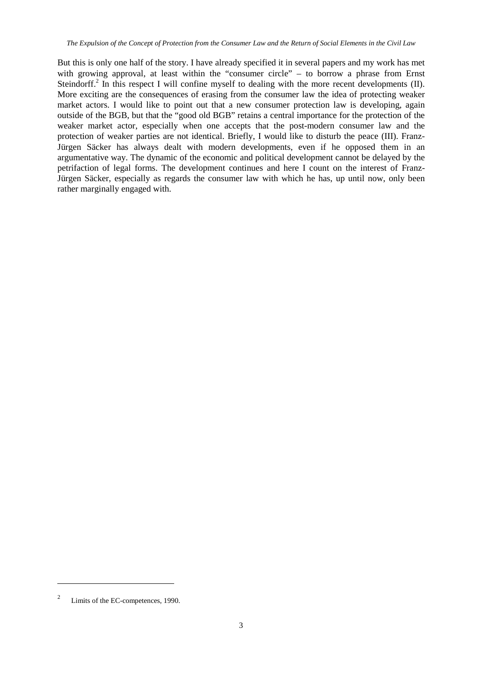But this is only one half of the story. I have already specified it in several papers and my work has met with growing approval, at least within the "consumer circle" – to borrow a phrase from Ernst Steindorff.<sup>2</sup> In this respect I will confine myself to dealing with the more recent developments (II). More exciting are the consequences of erasing from the consumer law the idea of protecting weaker market actors. I would like to point out that a new consumer protection law is developing, again outside of the BGB, but that the "good old BGB" retains a central importance for the protection of the weaker market actor, especially when one accepts that the post-modern consumer law and the protection of weaker parties are not identical. Briefly, I would like to disturb the peace (III). Franz-Jürgen Säcker has always dealt with modern developments, even if he opposed them in an argumentative way. The dynamic of the economic and political development cannot be delayed by the petrifaction of legal forms. The development continues and here I count on the interest of Franz-Jürgen Säcker, especially as regards the consumer law with which he has, up until now, only been rather marginally engaged with.

<sup>2</sup> Limits of the EC-competences, 1990.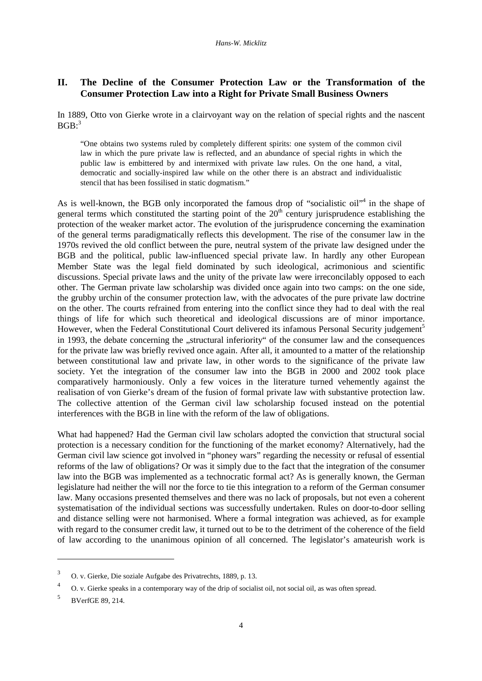### **II. The Decline of the Consumer Protection Law or the Transformation of the Consumer Protection Law into a Right for Private Small Business Owners**

In 1889, Otto von Gierke wrote in a clairvoyant way on the relation of special rights and the nascent  $BGB<sup>3</sup>$ 

"One obtains two systems ruled by completely different spirits: one system of the common civil law in which the pure private law is reflected, and an abundance of special rights in which the public law is embittered by and intermixed with private law rules. On the one hand, a vital, democratic and socially-inspired law while on the other there is an abstract and individualistic stencil that has been fossilised in static dogmatism."

As is well-known, the BGB only incorporated the famous drop of "socialistic oil"<sup>4</sup> in the shape of general terms which constituted the starting point of the  $20<sup>th</sup>$  century jurisprudence establishing the protection of the weaker market actor. The evolution of the jurisprudence concerning the examination of the general terms paradigmatically reflects this development. The rise of the consumer law in the 1970s revived the old conflict between the pure, neutral system of the private law designed under the BGB and the political, public law-influenced special private law. In hardly any other European Member State was the legal field dominated by such ideological, acrimonious and scientific discussions. Special private laws and the unity of the private law were irreconcilably opposed to each other. The German private law scholarship was divided once again into two camps: on the one side, the grubby urchin of the consumer protection law, with the advocates of the pure private law doctrine on the other. The courts refrained from entering into the conflict since they had to deal with the real things of life for which such theoretical and ideological discussions are of minor importance. However, when the Federal Constitutional Court delivered its infamous Personal Security judgement<sup>5</sup> in 1993, the debate concerning the "structural inferiority" of the consumer law and the consequences for the private law was briefly revived once again. After all, it amounted to a matter of the relationship between constitutional law and private law, in other words to the significance of the private law society. Yet the integration of the consumer law into the BGB in 2000 and 2002 took place comparatively harmoniously. Only a few voices in the literature turned vehemently against the realisation of von Gierke's dream of the fusion of formal private law with substantive protection law. The collective attention of the German civil law scholarship focused instead on the potential interferences with the BGB in line with the reform of the law of obligations.

What had happened? Had the German civil law scholars adopted the conviction that structural social protection is a necessary condition for the functioning of the market economy? Alternatively, had the German civil law science got involved in "phoney wars" regarding the necessity or refusal of essential reforms of the law of obligations? Or was it simply due to the fact that the integration of the consumer law into the BGB was implemented as a technocratic formal act? As is generally known, the German legislature had neither the will nor the force to tie this integration to a reform of the German consumer law. Many occasions presented themselves and there was no lack of proposals, but not even a coherent systematisation of the individual sections was successfully undertaken. Rules on door-to-door selling and distance selling were not harmonised. Where a formal integration was achieved, as for example with regard to the consumer credit law, it turned out to be to the detriment of the coherence of the field of law according to the unanimous opinion of all concerned. The legislator's amateurish work is

<sup>3</sup> O. v. Gierke, Die soziale Aufgabe des Privatrechts, 1889, p. 13.

<sup>4</sup> O. v. Gierke speaks in a contemporary way of the drip of socialist oil, not social oil, as was often spread.

<sup>5</sup> BVerfGE 89, 214.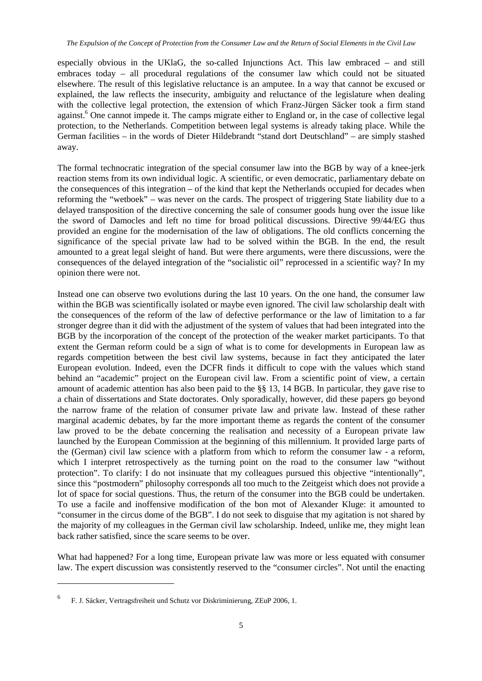especially obvious in the UKlaG, the so-called Injunctions Act. This law embraced – and still embraces today – all procedural regulations of the consumer law which could not be situated elsewhere. The result of this legislative reluctance is an amputee. In a way that cannot be excused or explained, the law reflects the insecurity, ambiguity and reluctance of the legislature when dealing with the collective legal protection, the extension of which Franz-Jürgen Säcker took a firm stand against.<sup>6</sup> One cannot impede it. The camps migrate either to England or, in the case of collective legal protection, to the Netherlands. Competition between legal systems is already taking place. While the German facilities – in the words of Dieter Hildebrandt "stand dort Deutschland" – are simply stashed away.

The formal technocratic integration of the special consumer law into the BGB by way of a knee-jerk reaction stems from its own individual logic. A scientific, or even democratic, parliamentary debate on the consequences of this integration – of the kind that kept the Netherlands occupied for decades when reforming the "wetboek" – was never on the cards. The prospect of triggering State liability due to a delayed transposition of the directive concerning the sale of consumer goods hung over the issue like the sword of Damocles and left no time for broad political discussions. Directive 99/44/EG thus provided an engine for the modernisation of the law of obligations. The old conflicts concerning the significance of the special private law had to be solved within the BGB. In the end, the result amounted to a great legal sleight of hand. But were there arguments, were there discussions, were the consequences of the delayed integration of the "socialistic oil" reprocessed in a scientific way? In my opinion there were not.

Instead one can observe two evolutions during the last 10 years. On the one hand, the consumer law within the BGB was scientifically isolated or maybe even ignored. The civil law scholarship dealt with the consequences of the reform of the law of defective performance or the law of limitation to a far stronger degree than it did with the adjustment of the system of values that had been integrated into the BGB by the incorporation of the concept of the protection of the weaker market participants. To that extent the German reform could be a sign of what is to come for developments in European law as regards competition between the best civil law systems, because in fact they anticipated the later European evolution. Indeed, even the DCFR finds it difficult to cope with the values which stand behind an "academic" project on the European civil law. From a scientific point of view, a certain amount of academic attention has also been paid to the §§ 13, 14 BGB. In particular, they gave rise to a chain of dissertations and State doctorates. Only sporadically, however, did these papers go beyond the narrow frame of the relation of consumer private law and private law. Instead of these rather marginal academic debates, by far the more important theme as regards the content of the consumer law proved to be the debate concerning the realisation and necessity of a European private law launched by the European Commission at the beginning of this millennium. It provided large parts of the (German) civil law science with a platform from which to reform the consumer law - a reform, which I interpret retrospectively as the turning point on the road to the consumer law "without" protection". To clarify: I do not insinuate that my colleagues pursued this objective "intentionally", since this "postmodern" philosophy corresponds all too much to the Zeitgeist which does not provide a lot of space for social questions. Thus, the return of the consumer into the BGB could be undertaken. To use a facile and inoffensive modification of the bon mot of Alexander Kluge: it amounted to "consumer in the circus dome of the BGB". I do not seek to disguise that my agitation is not shared by the majority of my colleagues in the German civil law scholarship. Indeed, unlike me, they might lean back rather satisfied, since the scare seems to be over.

What had happened? For a long time, European private law was more or less equated with consumer law. The expert discussion was consistently reserved to the "consumer circles". Not until the enacting

<sup>6</sup> F. J. Sӓcker, Vertragsfreiheit und Schutz vor Diskriminierung, ZEuP 2006, 1.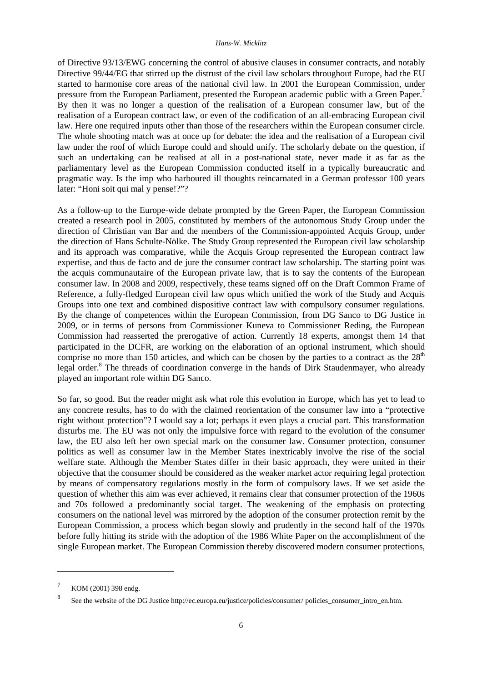#### *Hans-W. Micklitz*

of Directive 93/13/EWG concerning the control of abusive clauses in consumer contracts, and notably Directive 99/44/EG that stirred up the distrust of the civil law scholars throughout Europe, had the EU started to harmonise core areas of the national civil law. In 2001 the European Commission, under pressure from the European Parliament, presented the European academic public with a Green Paper.<sup>7</sup> By then it was no longer a question of the realisation of a European consumer law, but of the realisation of a European contract law, or even of the codification of an all-embracing European civil law. Here one required inputs other than those of the researchers within the European consumer circle. The whole shooting match was at once up for debate: the idea and the realisation of a European civil law under the roof of which Europe could and should unify. The scholarly debate on the question, if such an undertaking can be realised at all in a post-national state, never made it as far as the parliamentary level as the European Commission conducted itself in a typically bureaucratic and pragmatic way. Is the imp who harboured ill thoughts reincarnated in a German professor 100 years later: "Honi soit qui mal y pense!?"?

As a follow-up to the Europe-wide debate prompted by the Green Paper, the European Commission created a research pool in 2005, constituted by members of the autonomous Study Group under the direction of Christian van Bar and the members of the Commission-appointed Acquis Group, under the direction of Hans Schulte-Nölke. The Study Group represented the European civil law scholarship and its approach was comparative, while the Acquis Group represented the European contract law expertise, and thus de facto and de jure the consumer contract law scholarship. The starting point was the acquis communautaire of the European private law, that is to say the contents of the European consumer law. In 2008 and 2009, respectively, these teams signed off on the Draft Common Frame of Reference, a fully-fledged European civil law opus which unified the work of the Study and Acquis Groups into one text and combined dispositive contract law with compulsory consumer regulations. By the change of competences within the European Commission, from DG Sanco to DG Justice in 2009, or in terms of persons from Commissioner Kuneva to Commissioner Reding, the European Commission had reasserted the prerogative of action. Currently 18 experts, amongst them 14 that participated in the DCFR, are working on the elaboration of an optional instrument, which should comprise no more than 150 articles, and which can be chosen by the parties to a contract as the  $28<sup>th</sup>$ legal order.<sup>8</sup> The threads of coordination converge in the hands of Dirk Staudenmayer, who already played an important role within DG Sanco.

So far, so good. But the reader might ask what role this evolution in Europe, which has yet to lead to any concrete results, has to do with the claimed reorientation of the consumer law into a "protective right without protection"? I would say a lot; perhaps it even plays a crucial part. This transformation disturbs me. The EU was not only the impulsive force with regard to the evolution of the consumer law, the EU also left her own special mark on the consumer law. Consumer protection, consumer politics as well as consumer law in the Member States inextricably involve the rise of the social welfare state. Although the Member States differ in their basic approach, they were united in their objective that the consumer should be considered as the weaker market actor requiring legal protection by means of compensatory regulations mostly in the form of compulsory laws. If we set aside the question of whether this aim was ever achieved, it remains clear that consumer protection of the 1960s and 70s followed a predominantly social target. The weakening of the emphasis on protecting consumers on the national level was mirrored by the adoption of the consumer protection remit by the European Commission, a process which began slowly and prudently in the second half of the 1970s before fully hitting its stride with the adoption of the 1986 White Paper on the accomplishment of the single European market. The European Commission thereby discovered modern consumer protections,

<sup>7</sup> KOM (2001) 398 endg.

<sup>8</sup> See the website of the DG Justice http://ec.europa.eu/justice/policies/consumer/ policies\_consumer\_intro\_en.htm.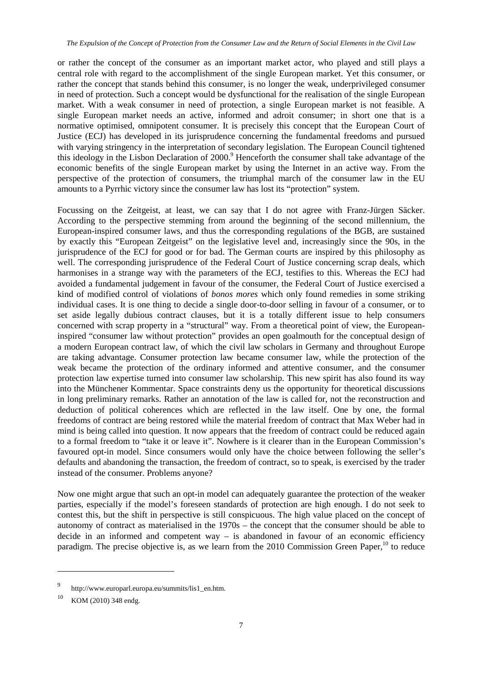or rather the concept of the consumer as an important market actor, who played and still plays a central role with regard to the accomplishment of the single European market. Yet this consumer, or rather the concept that stands behind this consumer, is no longer the weak, underprivileged consumer in need of protection. Such a concept would be dysfunctional for the realisation of the single European market. With a weak consumer in need of protection, a single European market is not feasible. A single European market needs an active, informed and adroit consumer; in short one that is a normative optimised, omnipotent consumer. It is precisely this concept that the European Court of Justice (ECJ) has developed in its jurisprudence concerning the fundamental freedoms and pursued with varying stringency in the interpretation of secondary legislation. The European Council tightened this ideology in the Lisbon Declaration of 2000.<sup>9</sup> Henceforth the consumer shall take advantage of the economic benefits of the single European market by using the Internet in an active way. From the perspective of the protection of consumers, the triumphal march of the consumer law in the EU amounts to a Pyrrhic victory since the consumer law has lost its "protection" system.

Focussing on the Zeitgeist, at least, we can say that I do not agree with Franz-Jürgen Sӓcker. According to the perspective stemming from around the beginning of the second millennium, the European-inspired consumer laws, and thus the corresponding regulations of the BGB, are sustained by exactly this "European Zeitgeist" on the legislative level and, increasingly since the 90s, in the jurisprudence of the ECJ for good or for bad. The German courts are inspired by this philosophy as well. The corresponding jurisprudence of the Federal Court of Justice concerning scrap deals, which harmonises in a strange way with the parameters of the ECJ, testifies to this. Whereas the ECJ had avoided a fundamental judgement in favour of the consumer, the Federal Court of Justice exercised a kind of modified control of violations of *bonos mores* which only found remedies in some striking individual cases. It is one thing to decide a single door-to-door selling in favour of a consumer, or to set aside legally dubious contract clauses, but it is a totally different issue to help consumers concerned with scrap property in a "structural" way. From a theoretical point of view, the Europeaninspired "consumer law without protection" provides an open goalmouth for the conceptual design of a modern European contract law, of which the civil law scholars in Germany and throughout Europe are taking advantage. Consumer protection law became consumer law, while the protection of the weak became the protection of the ordinary informed and attentive consumer, and the consumer protection law expertise turned into consumer law scholarship. This new spirit has also found its way into the Münchener Kommentar. Space constraints deny us the opportunity for theoretical discussions in long preliminary remarks. Rather an annotation of the law is called for, not the reconstruction and deduction of political coherences which are reflected in the law itself. One by one, the formal freedoms of contract are being restored while the material freedom of contract that Max Weber had in mind is being called into question. It now appears that the freedom of contract could be reduced again to a formal freedom to "take it or leave it". Nowhere is it clearer than in the European Commission's favoured opt-in model. Since consumers would only have the choice between following the seller's defaults and abandoning the transaction, the freedom of contract, so to speak, is exercised by the trader instead of the consumer. Problems anyone?

Now one might argue that such an opt-in model can adequately guarantee the protection of the weaker parties, especially if the model's foreseen standards of protection are high enough. I do not seek to contest this, but the shift in perspective is still conspicuous. The high value placed on the concept of autonomy of contract as materialised in the 1970s – the concept that the consumer should be able to decide in an informed and competent way – is abandoned in favour of an economic efficiency paradigm. The precise objective is, as we learn from the  $2010$  Commission Green Paper,<sup>10</sup> to reduce

<sup>9</sup> http://www.europarl.europa.eu/summits/lis1\_en.htm.

<sup>&</sup>lt;sup>10</sup> KOM (2010) 348 endg.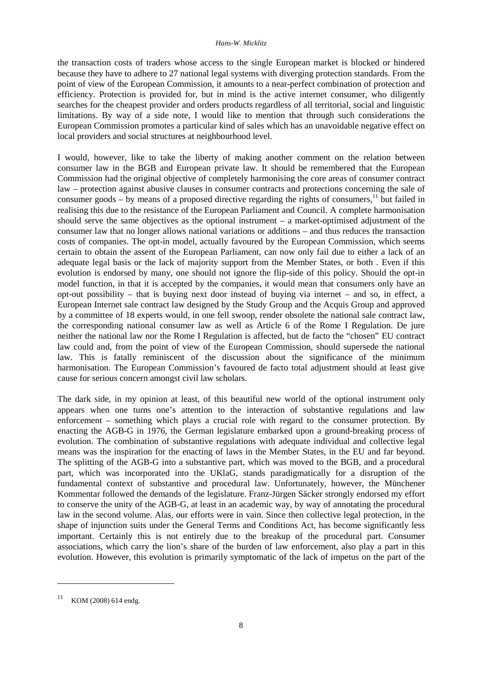the transaction costs of traders whose access to the single European market is blocked or hindered because they have to adhere to 27 national legal systems with diverging protection standards. From the point of view of the European Commission, it amounts to a near-perfect combination of protection and efficiency. Protection is provided for, but in mind is the active internet consumer, who diligently searches for the cheapest provider and orders products regardless of all territorial, social and linguistic limitations. By way of a side note, I would like to mention that through such considerations the European Commission promotes a particular kind of sales which has an unavoidable negative effect on local providers and social structures at neighbourhood level.

I would, however, like to take the liberty of making another comment on the relation between consumer law in the BGB and European private law. It should be remembered that the European Commission had the original objective of completely harmonising the core areas of consumer contract law – protection against abusive clauses in consumer contracts and protections concerning the sale of consumer goods – by means of a proposed directive regarding the rights of consumers,<sup>11</sup> but failed in realising this due to the resistance of the European Parliament and Council. A complete harmonisation should serve the same objectives as the optional instrument – a market-optimised adjustment of the consumer law that no longer allows national variations or additions – and thus reduces the transaction costs of companies. The opt-in model, actually favoured by the European Commission, which seems certain to obtain the assent of the European Parliament, can now only fail due to either a lack of an adequate legal basis or the lack of majority support from the Member States, or both . Even if this evolution is endorsed by many, one should not ignore the flip-side of this policy. Should the opt-in model function, in that it is accepted by the companies, it would mean that consumers only have an opt-out possibility – that is buying next door instead of buying via internet – and so, in effect, a European Internet sale contract law designed by the Study Group and the Acquis Group and approved by a committee of 18 experts would, in one fell swoop, render obsolete the national sale contract law, the corresponding national consumer law as well as Article 6 of the Rome I Regulation. De jure neither the national law nor the Rome I Regulation is affected, but de facto the "chosen" EU contract law could and, from the point of view of the European Commission, should supersede the national law. This is fatally reminiscent of the discussion about the significance of the minimum harmonisation. The European Commission's favoured de facto total adjustment should at least give cause for serious concern amongst civil law scholars.

The dark side, in my opinion at least, of this beautiful new world of the optional instrument only appears when one turns one's attention to the interaction of substantive regulations and law enforcement – something which plays a crucial role with regard to the consumer protection. By enacting the AGB-G in 1976, the German legislature embarked upon a ground-breaking process of evolution. The combination of substantive regulations with adequate individual and collective legal means was the inspiration for the enacting of laws in the Member States, in the EU and far beyond. The splitting of the AGB-G into a substantive part, which was moved to the BGB, and a procedural part, which was incorporated into the UKlaG, stands paradigmatically for a disruption of the fundamental context of substantive and procedural law. Unfortunately, however, the Münchener Kommentar followed the demands of the legislature. Franz-Jürgen Sӓcker strongly endorsed my effort to conserve the unity of the AGB-G, at least in an academic way, by way of annotating the procedural law in the second volume. Alas, our efforts were in vain. Since then collective legal protection, in the shape of injunction suits under the General Terms and Conditions Act, has become significantly less important. Certainly this is not entirely due to the breakup of the procedural part. Consumer associations, which carry the lion's share of the burden of law enforcement, also play a part in this evolution. However, this evolution is primarily symptomatic of the lack of impetus on the part of the

 $11$  KOM (2008) 614 endg.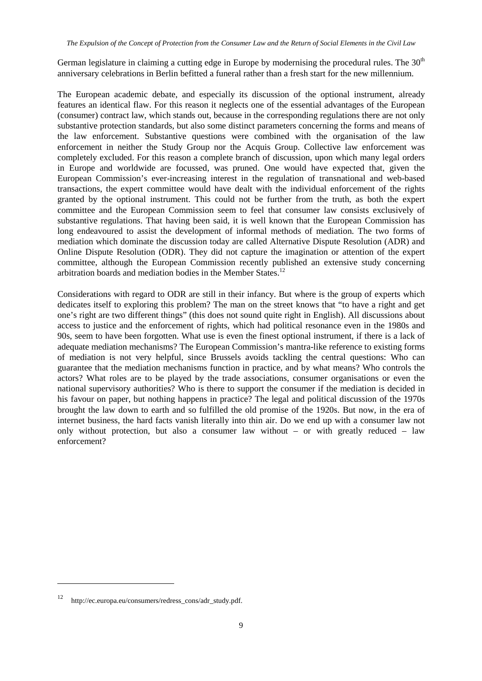German legislature in claiming a cutting edge in Europe by modernising the procedural rules. The 30<sup>th</sup> anniversary celebrations in Berlin befitted a funeral rather than a fresh start for the new millennium.

The European academic debate, and especially its discussion of the optional instrument, already features an identical flaw. For this reason it neglects one of the essential advantages of the European (consumer) contract law, which stands out, because in the corresponding regulations there are not only substantive protection standards, but also some distinct parameters concerning the forms and means of the law enforcement. Substantive questions were combined with the organisation of the law enforcement in neither the Study Group nor the Acquis Group. Collective law enforcement was completely excluded. For this reason a complete branch of discussion, upon which many legal orders in Europe and worldwide are focussed, was pruned. One would have expected that, given the European Commission's ever-increasing interest in the regulation of transnational and web-based transactions, the expert committee would have dealt with the individual enforcement of the rights granted by the optional instrument. This could not be further from the truth, as both the expert committee and the European Commission seem to feel that consumer law consists exclusively of substantive regulations. That having been said, it is well known that the European Commission has long endeavoured to assist the development of informal methods of mediation. The two forms of mediation which dominate the discussion today are called Alternative Dispute Resolution (ADR) and Online Dispute Resolution (ODR). They did not capture the imagination or attention of the expert committee, although the European Commission recently published an extensive study concerning arbitration boards and mediation bodies in the Member States.<sup>12</sup>

Considerations with regard to ODR are still in their infancy. But where is the group of experts which dedicates itself to exploring this problem? The man on the street knows that "to have a right and get one's right are two different things" (this does not sound quite right in English). All discussions about access to justice and the enforcement of rights, which had political resonance even in the 1980s and 90s, seem to have been forgotten. What use is even the finest optional instrument, if there is a lack of adequate mediation mechanisms? The European Commission's mantra-like reference to existing forms of mediation is not very helpful, since Brussels avoids tackling the central questions: Who can guarantee that the mediation mechanisms function in practice, and by what means? Who controls the actors? What roles are to be played by the trade associations, consumer organisations or even the national supervisory authorities? Who is there to support the consumer if the mediation is decided in his favour on paper, but nothing happens in practice? The legal and political discussion of the 1970s brought the law down to earth and so fulfilled the old promise of the 1920s. But now, in the era of internet business, the hard facts vanish literally into thin air. Do we end up with a consumer law not only without protection, but also a consumer law without – or with greatly reduced – law enforcement?

<sup>12</sup> http://ec.europa.eu/consumers/redress\_cons/adr\_study.pdf.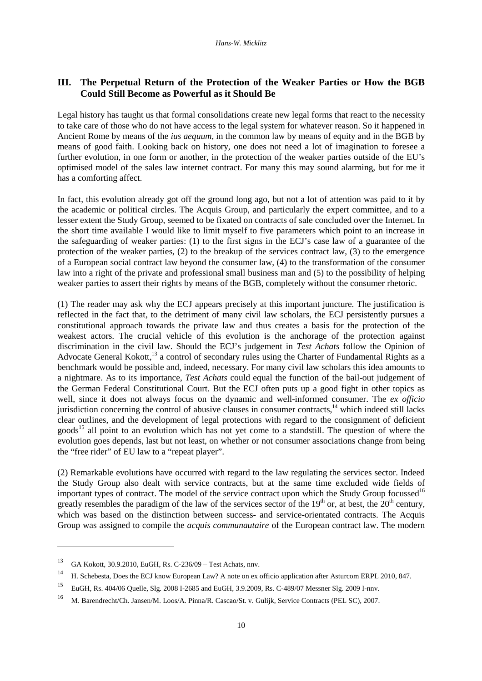## **III. The Perpetual Return of the Protection of the Weaker Parties or How the BGB Could Still Become as Powerful as it Should Be**

Legal history has taught us that formal consolidations create new legal forms that react to the necessity to take care of those who do not have access to the legal system for whatever reason. So it happened in Ancient Rome by means of the *ius aequum*, in the common law by means of equity and in the BGB by means of good faith. Looking back on history, one does not need a lot of imagination to foresee a further evolution, in one form or another, in the protection of the weaker parties outside of the EU's optimised model of the sales law internet contract. For many this may sound alarming, but for me it has a comforting affect.

In fact, this evolution already got off the ground long ago, but not a lot of attention was paid to it by the academic or political circles. The Acquis Group, and particularly the expert committee, and to a lesser extent the Study Group, seemed to be fixated on contracts of sale concluded over the Internet. In the short time available I would like to limit myself to five parameters which point to an increase in the safeguarding of weaker parties: (1) to the first signs in the ECJ's case law of a guarantee of the protection of the weaker parties, (2) to the breakup of the services contract law, (3) to the emergence of a European social contract law beyond the consumer law, (4) to the transformation of the consumer law into a right of the private and professional small business man and (5) to the possibility of helping weaker parties to assert their rights by means of the BGB, completely without the consumer rhetoric.

(1) The reader may ask why the ECJ appears precisely at this important juncture. The justification is reflected in the fact that, to the detriment of many civil law scholars, the ECJ persistently pursues a constitutional approach towards the private law and thus creates a basis for the protection of the weakest actors. The crucial vehicle of this evolution is the anchorage of the protection against discrimination in the civil law. Should the ECJ's judgement in *Test Achats* follow the Opinion of Advocate General Kokott,<sup>13</sup> a control of secondary rules using the Charter of Fundamental Rights as a benchmark would be possible and, indeed, necessary. For many civil law scholars this idea amounts to a nightmare. As to its importance, *Test Achats* could equal the function of the bail-out judgement of the German Federal Constitutional Court. But the ECJ often puts up a good fight in other topics as well, since it does not always focus on the dynamic and well-informed consumer. The *ex officio*  jurisdiction concerning the control of abusive clauses in consumer contracts,<sup>14</sup> which indeed still lacks clear outlines, and the development of legal protections with regard to the consignment of deficient goods<sup>15</sup> all point to an evolution which has not yet come to a standstill. The question of where the evolution goes depends, last but not least, on whether or not consumer associations change from being the "free rider" of EU law to a "repeat player".

(2) Remarkable evolutions have occurred with regard to the law regulating the services sector. Indeed the Study Group also dealt with service contracts, but at the same time excluded wide fields of important types of contract. The model of the service contract upon which the Study Group focussed<sup>16</sup> greatly resembles the paradigm of the law of the services sector of the 19<sup>th</sup> or, at best, the  $20<sup>th</sup>$  century, which was based on the distinction between success- and service-orientated contracts. The Acquis Group was assigned to compile the *acquis communautaire* of the European contract law. The modern

<sup>13</sup> GA Kokott, 30.9.2010, EuGH, Rs. C-236/09 – Test Achats, nnv.

<sup>&</sup>lt;sup>14</sup> H. Schebesta, Does the ECJ know European Law? A note on ex officio application after Asturcom ERPL 2010, 847.

<sup>15</sup> EuGH, Rs. 404/06 Quelle, Slg. 2008 I-2685 and EuGH, 3.9.2009, Rs. C-489/07 Messner Slg. 2009 I-nnv.

<sup>16</sup> M. Barendrecht/Ch. Jansen/M. Loos/A. Pinna/R. Cascao/St. v. Gulijk, Service Contracts (PEL SC), 2007.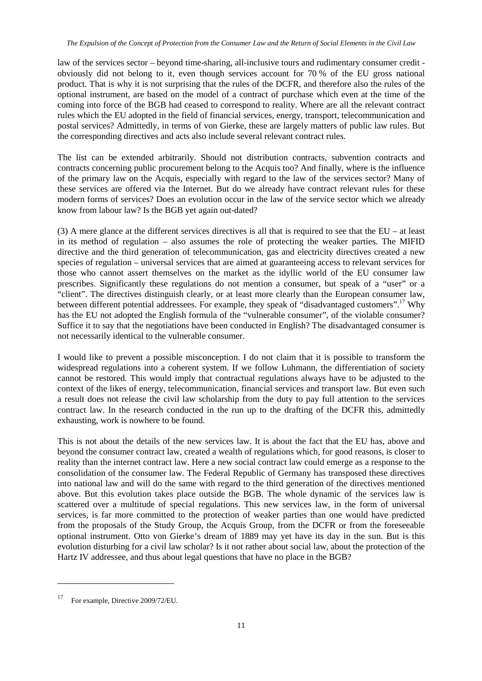law of the services sector – beyond time-sharing, all-inclusive tours and rudimentary consumer credit obviously did not belong to it, even though services account for 70 % of the EU gross national product. That is why it is not surprising that the rules of the DCFR, and therefore also the rules of the optional instrument, are based on the model of a contract of purchase which even at the time of the coming into force of the BGB had ceased to correspond to reality. Where are all the relevant contract rules which the EU adopted in the field of financial services, energy, transport, telecommunication and postal services? Admittedly, in terms of von Gierke, these are largely matters of public law rules. But the corresponding directives and acts also include several relevant contract rules.

The list can be extended arbitrarily. Should not distribution contracts, subvention contracts and contracts concerning public procurement belong to the Acquis too? And finally, where is the influence of the primary law on the Acquis, especially with regard to the law of the services sector? Many of these services are offered via the Internet. But do we already have contract relevant rules for these modern forms of services? Does an evolution occur in the law of the service sector which we already know from labour law? Is the BGB yet again out-dated?

(3) A mere glance at the different services directives is all that is required to see that the EU – at least in its method of regulation – also assumes the role of protecting the weaker parties. The MIFID directive and the third generation of telecommunication, gas and electricity directives created a new species of regulation – universal services that are aimed at guaranteeing access to relevant services for those who cannot assert themselves on the market as the idyllic world of the EU consumer law prescribes. Significantly these regulations do not mention a consumer, but speak of a "user" or a "client". The directives distinguish clearly, or at least more clearly than the European consumer law, between different potential addressees. For example, they speak of "disadvantaged customers".<sup>17</sup> Why has the EU not adopted the English formula of the "vulnerable consumer", of the violable consumer? Suffice it to say that the negotiations have been conducted in English? The disadvantaged consumer is not necessarily identical to the vulnerable consumer.

I would like to prevent a possible misconception. I do not claim that it is possible to transform the widespread regulations into a coherent system. If we follow Luhmann, the differentiation of society cannot be restored. This would imply that contractual regulations always have to be adjusted to the context of the likes of energy, telecommunication, financial services and transport law. But even such a result does not release the civil law scholarship from the duty to pay full attention to the services contract law. In the research conducted in the run up to the drafting of the DCFR this, admittedly exhausting, work is nowhere to be found.

This is not about the details of the new services law. It is about the fact that the EU has, above and beyond the consumer contract law, created a wealth of regulations which, for good reasons, is closer to reality than the internet contract law. Here a new social contract law could emerge as a response to the consolidation of the consumer law. The Federal Republic of Germany has transposed these directives into national law and will do the same with regard to the third generation of the directives mentioned above. But this evolution takes place outside the BGB. The whole dynamic of the services law is scattered over a multitude of special regulations. This new services law, in the form of universal services, is far more committed to the protection of weaker parties than one would have predicted from the proposals of the Study Group, the Acquis Group, from the DCFR or from the foreseeable optional instrument. Otto von Gierke's dream of 1889 may yet have its day in the sun. But is this evolution disturbing for a civil law scholar? Is it not rather about social law, about the protection of the Hartz IV addressee, and thus about legal questions that have no place in the BGB?

<sup>&</sup>lt;sup>17</sup> For example, Directive 2009/72/EU.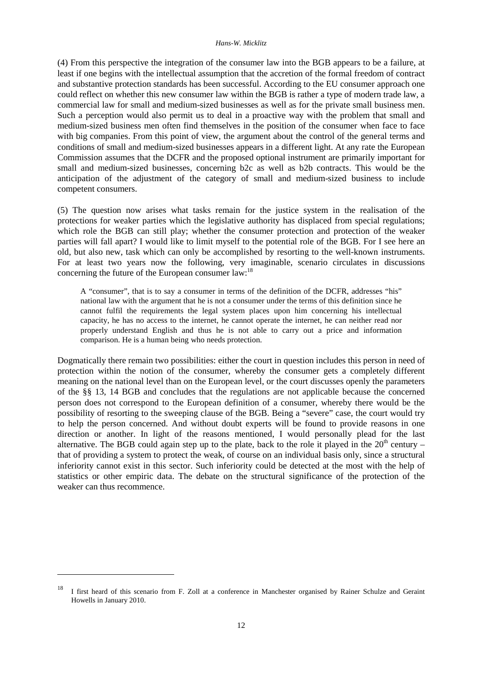#### *Hans-W. Micklitz*

(4) From this perspective the integration of the consumer law into the BGB appears to be a failure, at least if one begins with the intellectual assumption that the accretion of the formal freedom of contract and substantive protection standards has been successful. According to the EU consumer approach one could reflect on whether this new consumer law within the BGB is rather a type of modern trade law, a commercial law for small and medium-sized businesses as well as for the private small business men. Such a perception would also permit us to deal in a proactive way with the problem that small and medium-sized business men often find themselves in the position of the consumer when face to face with big companies. From this point of view, the argument about the control of the general terms and conditions of small and medium-sized businesses appears in a different light. At any rate the European Commission assumes that the DCFR and the proposed optional instrument are primarily important for small and medium-sized businesses, concerning b2c as well as b2b contracts. This would be the anticipation of the adjustment of the category of small and medium-sized business to include competent consumers.

(5) The question now arises what tasks remain for the justice system in the realisation of the protections for weaker parties which the legislative authority has displaced from special regulations; which role the BGB can still play; whether the consumer protection and protection of the weaker parties will fall apart? I would like to limit myself to the potential role of the BGB. For I see here an old, but also new, task which can only be accomplished by resorting to the well-known instruments. For at least two years now the following, very imaginable, scenario circulates in discussions concerning the future of the European consumer law:<sup>18</sup>

A "consumer", that is to say a consumer in terms of the definition of the DCFR, addresses "his" national law with the argument that he is not a consumer under the terms of this definition since he cannot fulfil the requirements the legal system places upon him concerning his intellectual capacity, he has no access to the internet, he cannot operate the internet, he can neither read nor properly understand English and thus he is not able to carry out a price and information comparison. He is a human being who needs protection.

Dogmatically there remain two possibilities: either the court in question includes this person in need of protection within the notion of the consumer, whereby the consumer gets a completely different meaning on the national level than on the European level, or the court discusses openly the parameters of the §§ 13, 14 BGB and concludes that the regulations are not applicable because the concerned person does not correspond to the European definition of a consumer, whereby there would be the possibility of resorting to the sweeping clause of the BGB. Being a "severe" case, the court would try to help the person concerned. And without doubt experts will be found to provide reasons in one direction or another. In light of the reasons mentioned, I would personally plead for the last alternative. The BGB could again step up to the plate, back to the role it played in the  $20<sup>th</sup>$  century – that of providing a system to protect the weak, of course on an individual basis only, since a structural inferiority cannot exist in this sector. Such inferiority could be detected at the most with the help of statistics or other empiric data. The debate on the structural significance of the protection of the weaker can thus recommence.

<sup>&</sup>lt;sup>18</sup> I first heard of this scenario from F. Zoll at a conference in Manchester organised by Rainer Schulze and Geraint Howells in January 2010.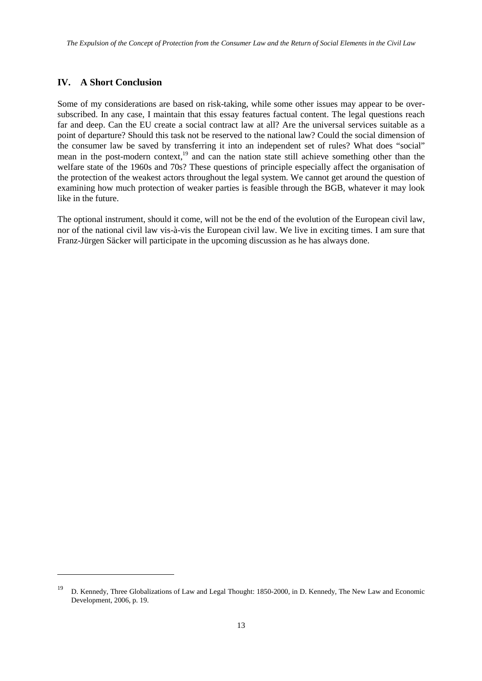#### **IV. A Short Conclusion**

 $\overline{a}$ 

Some of my considerations are based on risk-taking, while some other issues may appear to be oversubscribed. In any case, I maintain that this essay features factual content. The legal questions reach far and deep. Can the EU create a social contract law at all? Are the universal services suitable as a point of departure? Should this task not be reserved to the national law? Could the social dimension of the consumer law be saved by transferring it into an independent set of rules? What does "social" mean in the post-modern context, $19$  and can the nation state still achieve something other than the welfare state of the 1960s and 70s? These questions of principle especially affect the organisation of the protection of the weakest actors throughout the legal system. We cannot get around the question of examining how much protection of weaker parties is feasible through the BGB, whatever it may look like in the future.

The optional instrument, should it come, will not be the end of the evolution of the European civil law, nor of the national civil law vis-à-vis the European civil law. We live in exciting times. I am sure that Franz-Jürgen Sӓcker will participate in the upcoming discussion as he has always done.

<sup>&</sup>lt;sup>19</sup> D. Kennedy, Three Globalizations of Law and Legal Thought: 1850-2000, in D. Kennedy, The New Law and Economic Development, 2006, p. 19.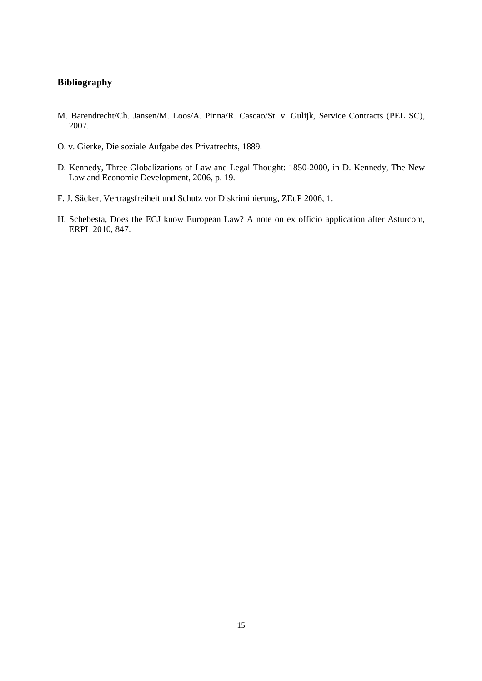# **Bibliography**

- M. Barendrecht/Ch. Jansen/M. Loos/A. Pinna/R. Cascao/St. v. Gulijk, Service Contracts (PEL SC), 2007.
- O. v. Gierke, Die soziale Aufgabe des Privatrechts, 1889.
- D. Kennedy, Three Globalizations of Law and Legal Thought: 1850-2000, in D. Kennedy, The New Law and Economic Development, 2006, p. 19.
- F. J. Sӓcker, Vertragsfreiheit und Schutz vor Diskriminierung, ZEuP 2006, 1.
- H. Schebesta, Does the ECJ know European Law? A note on ex officio application after Asturcom, ERPL 2010, 847.